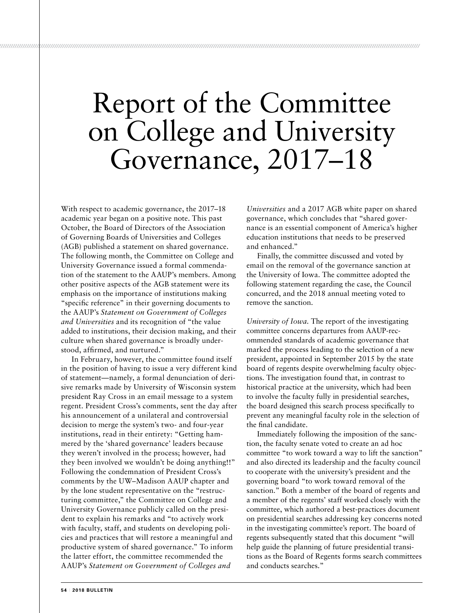## Report of the Committee on College and University Governance, 2017–18

*/////////////////////////////////////////////////////////////////////////////////////////////////////////////////////////////////////////////////////////////////////////////////////////////////////////////////////////*

With respect to academic governance, the 2017–18 academic year began on a positive note. This past October, the Board of Directors of the Association of Governing Boards of Universities and Colleges (AGB) published a statement on shared governance. The following month, the Committee on College and University Governance issued a formal commendation of the statement to the AAUP's members. Among other positive aspects of the AGB statement were its emphasis on the importance of institutions making "specific reference" in their governing documents to the AAUP's *Statement on Government of Colleges and Universities* and its recognition of "the value added to institutions, their decision making, and their culture when shared governance is broadly understood, affirmed, and nurtured."

In February, however, the committee found itself in the position of having to issue a very different kind of statement—namely, a formal denunciation of derisive remarks made by University of Wisconsin system president Ray Cross in an email message to a system regent. President Cross's comments, sent the day after his announcement of a unilateral and controversial decision to merge the system's two- and four-year institutions, read in their entirety: "Getting hammered by the 'shared governance' leaders because they weren't involved in the process; however, had they been involved we wouldn't be doing anything!!" Following the condemnation of President Cross's comments by the UW–Madison AAUP chapter and by the lone student representative on the "restructuring committee," the Committee on College and University Governance publicly called on the president to explain his remarks and "to actively work with faculty, staff, and students on developing policies and practices that will restore a meaningful and productive system of shared governance." To inform the latter effort, the committee recommended the AAUP's *Statement on Government of Colleges and* 

*Universities* and a 2017 AGB white paper on shared governance, which concludes that "shared governance is an essential component of America's higher education institutions that needs to be preserved and enhanced."

Finally, the committee discussed and voted by email on the removal of the governance sanction at the University of Iowa. The committee adopted the following statement regarding the case, the Council concurred, and the 2018 annual meeting voted to remove the sanction.

*University of Iowa.* The report of the investigating committee concerns departures from AAUP-recommended standards of academic governance that marked the process leading to the selection of a new president, appointed in September 2015 by the state board of regents despite overwhelming faculty objections. The investigation found that, in contrast to historical practice at the university, which had been to involve the faculty fully in presidential searches, the board designed this search process specifically to prevent any meaningful faculty role in the selection of the final candidate.

Immediately following the imposition of the sanction, the faculty senate voted to create an ad hoc committee "to work toward a way to lift the sanction" and also directed its leadership and the faculty council to cooperate with the university's president and the governing board "to work toward removal of the sanction." Both a member of the board of regents and a member of the regents' staff worked closely with the committee, which authored a best-practices document on presidential searches addressing key concerns noted in the investigating committee's report. The board of regents subsequently stated that this document "will help guide the planning of future presidential transitions as the Board of Regents forms search committees and conducts searches."